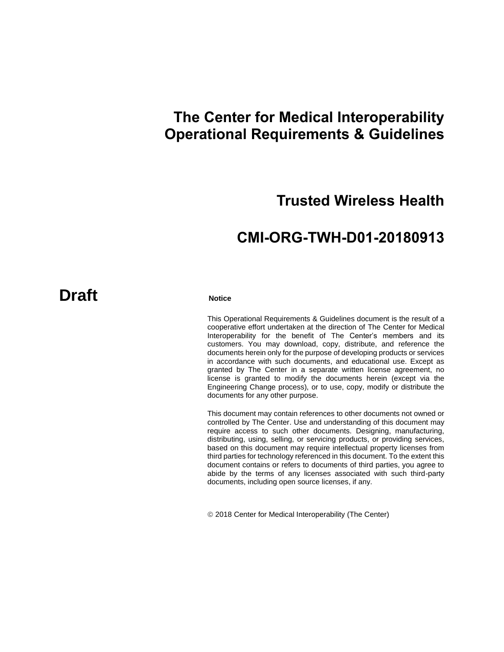# **The Center for Medical Interoperability Operational Requirements & Guidelines**

# **Trusted Wireless Health**

# **CMI-ORG-TWH-D01-20180913**

# **Draft Notice**

This Operational Requirements & Guidelines document is the result of a cooperative effort undertaken at the direction of The Center for Medical Interoperability for the benefit of The Center's members and its customers. You may download, copy, distribute, and reference the documents herein only for the purpose of developing products or services in accordance with such documents, and educational use. Except as granted by The Center in a separate written license agreement, no license is granted to modify the documents herein (except via the Engineering Change process), or to use, copy, modify or distribute the documents for any other purpose.

This document may contain references to other documents not owned or controlled by The Center. Use and understanding of this document may require access to such other documents. Designing, manufacturing, distributing, using, selling, or servicing products, or providing services, based on this document may require intellectual property licenses from third parties for technology referenced in this document. To the extent this document contains or refers to documents of third parties, you agree to abide by the terms of any licenses associated with such third-party documents, including open source licenses, if any.

2018 Center for Medical Interoperability (The Center)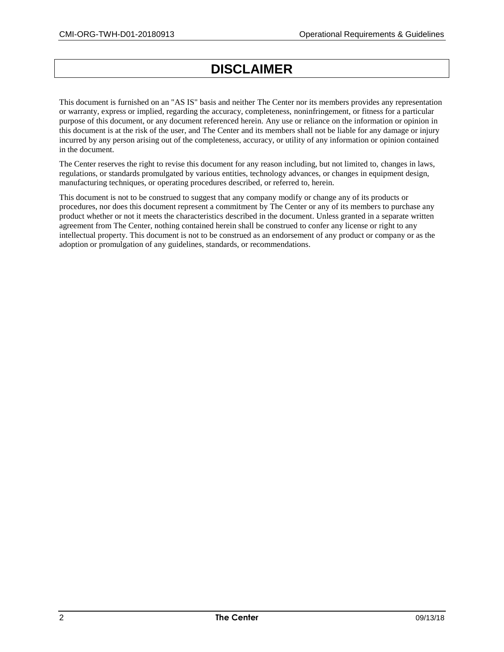# **DISCLAIMER**

This document is furnished on an "AS IS" basis and neither The Center nor its members provides any representation or warranty, express or implied, regarding the accuracy, completeness, noninfringement, or fitness for a particular purpose of this document, or any document referenced herein. Any use or reliance on the information or opinion in this document is at the risk of the user, and The Center and its members shall not be liable for any damage or injury incurred by any person arising out of the completeness, accuracy, or utility of any information or opinion contained in the document.

The Center reserves the right to revise this document for any reason including, but not limited to, changes in laws, regulations, or standards promulgated by various entities, technology advances, or changes in equipment design, manufacturing techniques, or operating procedures described, or referred to, herein.

This document is not to be construed to suggest that any company modify or change any of its products or procedures, nor does this document represent a commitment by The Center or any of its members to purchase any product whether or not it meets the characteristics described in the document. Unless granted in a separate written agreement from The Center, nothing contained herein shall be construed to confer any license or right to any intellectual property. This document is not to be construed as an endorsement of any product or company or as the adoption or promulgation of any guidelines, standards, or recommendations.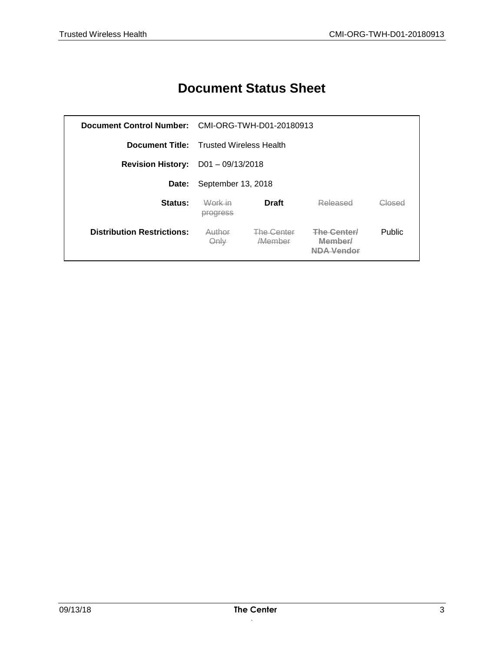# **Document Status Sheet**

|                                         | Document Control Number: CMI-ORG-TWH-D01-20180913 |                                      |                       |               |
|-----------------------------------------|---------------------------------------------------|--------------------------------------|-----------------------|---------------|
|                                         | <b>Document Title:</b> Trusted Wireless Health    |                                      |                       |               |
| <b>Revision History:</b> D01-09/13/2018 |                                                   |                                      |                       |               |
| Date:                                   | September 13, 2018                                |                                      |                       |               |
| Status:                                 | Work in<br>progress                               | <b>Draft</b>                         | Released              | Closed        |
| <b>Distribution Restrictions:</b>       | Author<br>Only                                    | <b>The Center</b><br><i>A</i> Member | The Center<br>Member/ | <b>Public</b> |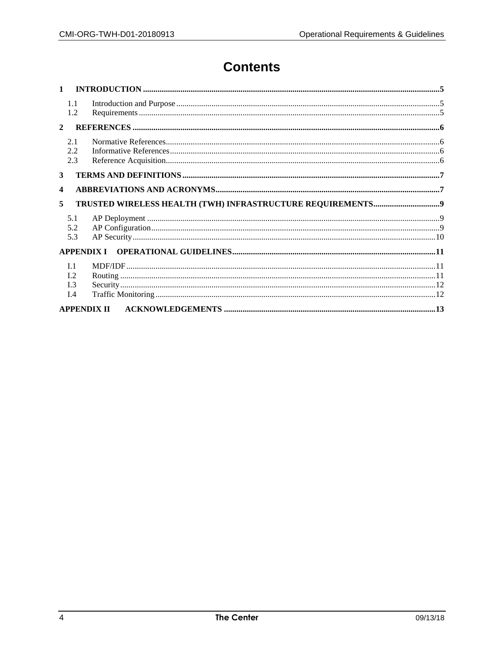# **Contents**

| $\mathbf{1}$       |                                                           |  |  |
|--------------------|-----------------------------------------------------------|--|--|
|                    | 1.1<br>1.2                                                |  |  |
| $\mathcal{L}$      |                                                           |  |  |
|                    | 2.1<br>2.2<br>2.3                                         |  |  |
| 3                  |                                                           |  |  |
| 4                  |                                                           |  |  |
| 5                  |                                                           |  |  |
|                    | 5.1<br>5.2<br>5.3                                         |  |  |
|                    | <b>APPENDIX I</b>                                         |  |  |
|                    | I <sub>1</sub><br>L <sub>2</sub><br>L <sub>3</sub><br>I.4 |  |  |
| <b>APPENDIX II</b> |                                                           |  |  |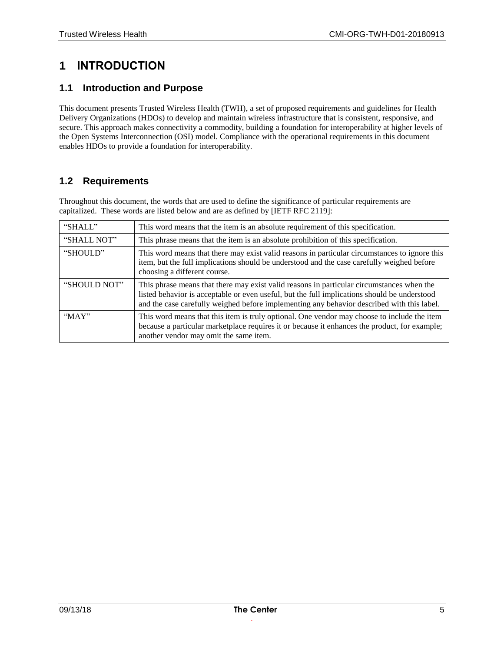### **1 INTRODUCTION**

#### **1.1 Introduction and Purpose**

This document presents Trusted Wireless Health (TWH), a set of proposed requirements and guidelines for Health Delivery Organizations (HDOs) to develop and maintain wireless infrastructure that is consistent, responsive, and secure. This approach makes connectivity a commodity, building a foundation for interoperability at higher levels of the Open Systems Interconnection (OSI) model. Compliance with the operational requirements in this document enables HDOs to provide a foundation for interoperability.

#### **1.2 Requirements**

Throughout this document, the words that are used to define the significance of particular requirements are capitalized. These words are listed below and are as defined b[y \[IETF RFC 2119\]:](#page-5-0)

| "SHALL"      | This word means that the item is an absolute requirement of this specification.                                                                                                                                                                                                         |
|--------------|-----------------------------------------------------------------------------------------------------------------------------------------------------------------------------------------------------------------------------------------------------------------------------------------|
| "SHALL NOT"  | This phrase means that the item is an absolute prohibition of this specification.                                                                                                                                                                                                       |
| "SHOULD"     | This word means that there may exist valid reasons in particular circumstances to ignore this<br>item, but the full implications should be understood and the case carefully weighed before<br>choosing a different course.                                                             |
| "SHOULD NOT" | This phrase means that there may exist valid reasons in particular circumstances when the<br>listed behavior is acceptable or even useful, but the full implications should be understood<br>and the case carefully weighed before implementing any behavior described with this label. |
| MAY          | This word means that this item is truly optional. One vendor may choose to include the item<br>because a particular marketplace requires it or because it enhances the product, for example;<br>another vendor may omit the same item.                                                  |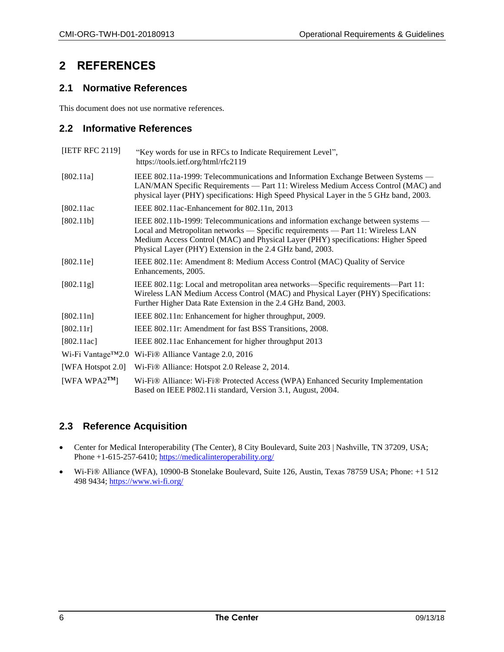### **2 REFERENCES**

#### **2.1 Normative References**

This document does not use normative references.

#### **2.2 Informative References**

<span id="page-5-5"></span><span id="page-5-4"></span><span id="page-5-1"></span><span id="page-5-0"></span>

| [IETF RFC 2119]     | "Key words for use in RFCs to Indicate Requirement Level",<br>https://tools.ietf.org/html/rfc2119                                                                                                                                                                                                                     |
|---------------------|-----------------------------------------------------------------------------------------------------------------------------------------------------------------------------------------------------------------------------------------------------------------------------------------------------------------------|
| [802.11a]           | IEEE 802.11a-1999: Telecommunications and Information Exchange Between Systems —<br>LAN/MAN Specific Requirements — Part 11: Wireless Medium Access Control (MAC) and<br>physical layer (PHY) specifications: High Speed Physical Layer in the 5 GHz band, 2003.                                                      |
| [802.11ac]          | IEEE 802.11ac-Enhancement for 802.11n, 2013                                                                                                                                                                                                                                                                           |
| [802.11b]           | IEEE 802.11b-1999: Telecommunications and information exchange between systems —<br>Local and Metropolitan networks — Specific requirements — Part 11: Wireless LAN<br>Medium Access Control (MAC) and Physical Layer (PHY) specifications: Higher Speed<br>Physical Layer (PHY) Extension in the 2.4 GHz band, 2003. |
| [802.11e]           | IEEE 802.11e: Amendment 8: Medium Access Control (MAC) Quality of Service<br>Enhancements, 2005.                                                                                                                                                                                                                      |
| [802.11g]           | IEEE 802.11g: Local and metropolitan area networks—Specific requirements—Part 11:<br>Wireless LAN Medium Access Control (MAC) and Physical Layer (PHY) Specifications:<br>Further Higher Data Rate Extension in the 2.4 GHz Band, 2003.                                                                               |
| [802.11n]           | IEEE 802.11n: Enhancement for higher throughput, 2009.                                                                                                                                                                                                                                                                |
| [802.11r]           | IEEE 802.11r: Amendment for fast BSS Transitions, 2008.                                                                                                                                                                                                                                                               |
| [802.11ac]          | IEEE 802.11ac Enhancement for higher throughput 2013                                                                                                                                                                                                                                                                  |
|                     | Wi-Fi Vantage™2.0 Wi-Fi® Alliance Vantage 2.0, 2016                                                                                                                                                                                                                                                                   |
| [WFA Hotspot 2.0]   | Wi-Fi® Alliance: Hotspot 2.0 Release 2, 2014.                                                                                                                                                                                                                                                                         |
| [WFA WPA $2^{TM}$ ] | Wi-Fi® Alliance: Wi-Fi® Protected Access (WPA) Enhanced Security Implementation<br>Based on IEEE P802.11i standard, Version 3.1, August, 2004.                                                                                                                                                                        |

#### <span id="page-5-6"></span><span id="page-5-3"></span><span id="page-5-2"></span>**2.3 Reference Acquisition**

- Center for Medical Interoperability (The Center), 8 City Boulevard, Suite 203 | Nashville, TN 37209, USA; Phone +1-615-257-6410[; https://medicalinteroperability.org/](https://medicalinteroperability.org/)
- Wi-Fi® Alliance (WFA), 10900-B Stonelake Boulevard, Suite 126, Austin, Texas 78759 USA; Phone: +1 512 498 9434;<https://www.wi-fi.org/>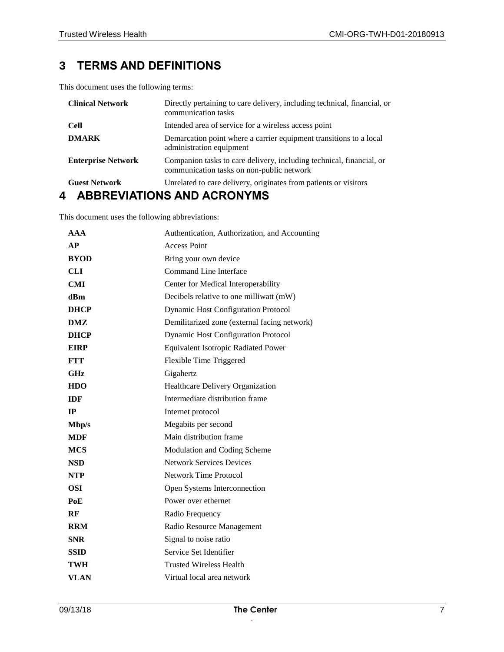# **3 TERMS AND DEFINITIONS**

This document uses the following terms:

| <b>Clinical Network</b>   | Directly pertaining to care delivery, including technical, financial, or<br>communication tasks                   |
|---------------------------|-------------------------------------------------------------------------------------------------------------------|
| <b>Cell</b>               | Intended area of service for a wireless access point                                                              |
| <b>DMARK</b>              | Demarcation point where a carrier equipment transitions to a local<br>administration equipment                    |
| <b>Enterprise Network</b> | Companion tasks to care delivery, including technical, financial, or<br>communication tasks on non-public network |
| <b>Guest Network</b>      | Unrelated to care delivery, originates from patients or visitors                                                  |

### **4 ABBREVIATIONS AND ACRONYMS**

This document uses the following abbreviations:

| AAA         | Authentication, Authorization, and Accounting |
|-------------|-----------------------------------------------|
| AP          | <b>Access Point</b>                           |
| <b>BYOD</b> | Bring your own device                         |
| CLI         | Command Line Interface                        |
| <b>CMI</b>  | Center for Medical Interoperability           |
| dBm         | Decibels relative to one milliwatt (mW)       |
| <b>DHCP</b> | <b>Dynamic Host Configuration Protocol</b>    |
| DMZ         | Demilitarized zone (external facing network)  |
| <b>DHCP</b> | <b>Dynamic Host Configuration Protocol</b>    |
| <b>EIRP</b> | <b>Equivalent Isotropic Radiated Power</b>    |
| <b>FTT</b>  | Flexible Time Triggered                       |
| GHz         | Gigahertz                                     |
| <b>HDO</b>  | Healthcare Delivery Organization              |
| <b>IDF</b>  | Intermediate distribution frame               |
| IP          | Internet protocol                             |
| Mbp/s       | Megabits per second                           |
| <b>MDF</b>  | Main distribution frame                       |
| <b>MCS</b>  | Modulation and Coding Scheme                  |
| <b>NSD</b>  | <b>Network Services Devices</b>               |
| NTP         | <b>Network Time Protocol</b>                  |
| <b>OSI</b>  | Open Systems Interconnection                  |
| PoE         | Power over ethernet                           |
| RF          | Radio Frequency                               |
| <b>RRM</b>  | Radio Resource Management                     |
| <b>SNR</b>  | Signal to noise ratio                         |
| <b>SSID</b> | Service Set Identifier                        |
| TWH         | <b>Trusted Wireless Health</b>                |
| VLAN        | Virtual local area network                    |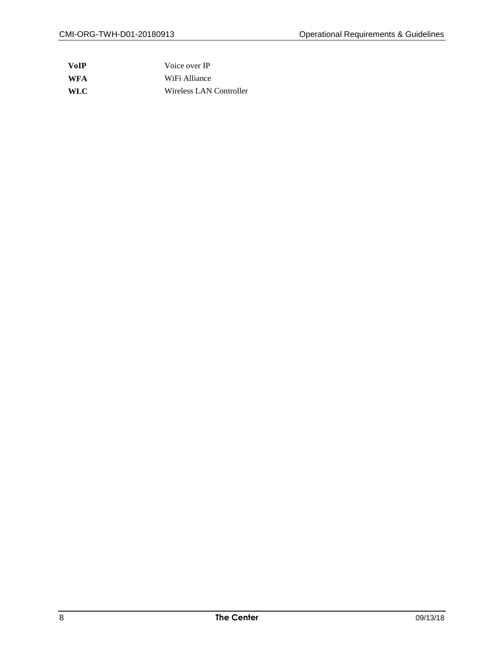| <b>VoIP</b> | Voice over IP           |
|-------------|-------------------------|
| <b>WFA</b>  | WiFi Alliance           |
| <b>WLC</b>  | Wireless LAN Controller |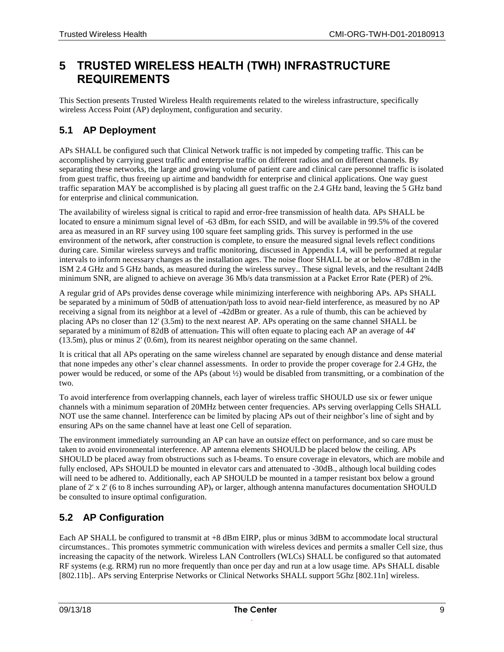# **5 TRUSTED WIRELESS HEALTH (TWH) INFRASTRUCTURE REQUIREMENTS**

This Section presents Trusted Wireless Health requirements related to the wireless infrastructure, specifically wireless Access Point (AP) deployment, configuration and security.

### **5.1 AP Deployment**

APs SHALL be configured such that Clinical Network traffic is not impeded by competing traffic. This can be accomplished by carrying guest traffic and enterprise traffic on different radios and on different channels. By separating these networks, the large and growing volume of patient care and clinical care personnel traffic is isolated from guest traffic, thus freeing up airtime and bandwidth for enterprise and clinical applications. One way guest traffic separation MAY be accomplished is by placing all guest traffic on the 2.4 GHz band, leaving the 5 GHz band for enterprise and clinical communication.

The availability of wireless signal is critical to rapid and error-free transmission of health data. APs SHALL be located to ensure a minimum signal level of -63 dBm, for each SSID, and will be available in 99.5% of the covered area as measured in an RF survey using 100 square feet sampling grids. This survey is performed in the use environment of the network, after construction is complete, to ensure the measured signal levels reflect conditions during care. Similar wireless surveys and traffic monitoring, discussed in Appendix [I.4,](#page-11-0) will be performed at regular intervals to inform necessary changes as the installation ages. The noise floor SHALL be at or below -87dBm in the ISM 2.4 GHz and 5 GHz bands, as measured during the wireless survey.. These signal levels, and the resultant 24dB minimum SNR, are aligned to achieve on average 36 Mb/s data transmission at a Packet Error Rate (PER) of 2%.

A regular grid of APs provides dense coverage while minimizing interference with neighboring APs. APs SHALL be separated by a minimum of 50dB of attenuation/path loss to avoid near-field interference, as measured by no AP receiving a signal from its neighbor at a level of -42dBm or greater. As a rule of thumb, this can be achieved by placing APs no closer than 12' (3.5m) to the next nearest AP. APs operating on the same channel SHALL be separated by a minimum of 82dB of attenuation. This will often equate to placing each AP an average of 44' (13.5m), plus or minus 2' (0.6m), from its nearest neighbor operating on the same channel.

It is critical that all APs operating on the same wireless channel are separated by enough distance and dense material that none impedes any other's clear channel assessments. In order to provide the proper coverage for 2.4 GHz, the power would be reduced, or some of the APs (about ½) would be disabled from transmitting, or a combination of the two.

To avoid interference from overlapping channels, each layer of wireless traffic SHOULD use six or fewer unique channels with a minimum separation of 20MHz between center frequencies. APs serving overlapping Cells SHALL NOT use the same channel. Interference can be limited by placing APs out of their neighbor's line of sight and by ensuring APs on the same channel have at least one Cell of separation.

The environment immediately surrounding an AP can have an outsize effect on performance, and so care must be taken to avoid environmental interference. AP antenna elements SHOULD be placed below the ceiling. APs SHOULD be placed away from obstructions such as I-beams. To ensure coverage in elevators, which are mobile and fully enclosed, APs SHOULD be mounted in elevator cars and attenuated to -30dB., although local building codes will need to be adhered to. Additionally, each AP SHOULD be mounted in a tamper resistant box below a ground plane of 2' x 2' (6 to 8 inches surrounding AP), or larger, although antenna manufactures documentation SHOULD be consulted to insure optimal configuration.

### **5.2 AP Configuration**

Each AP SHALL be configured to transmit at +8 dBm EIRP, plus or minus 3dBM to accommodate local structural circumstances.. This promotes symmetric communication with wireless devices and permits a smaller Cell size, thus increasing the capacity of the network. Wireless LAN Controllers (WLCs) SHALL be configured so that automated RF systems (e.g. RRM) run no more frequently than once per day and run at a low usage time. APs SHALL disable [\[802.11b\].](#page-5-1). APs serving Enterprise Networks or Clinical Networks SHALL support 5Ghz [\[802.11n\]](#page-5-2) wireless.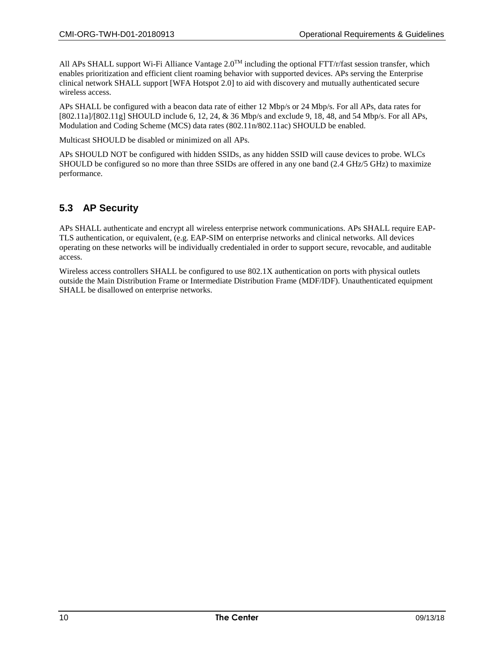All APs SHALL support Wi-Fi Alliance Vantage 2.0<sup>TM</sup> including the optional FTT/r/fast session transfer, which enables prioritization and efficient client roaming behavior with supported devices. APs serving the Enterprise clinical network SHALL support [\[WFA Hotspot 2.0\]](#page-5-3) to aid with discovery and mutually authenticated secure wireless access.

APs SHALL be configured with a beacon data rate of either 12 Mbp/s or 24 Mbp/s. For all APs, data rates for [\[802.11a\]](#page-5-4)[/\[802.11g\]](#page-5-5) SHOULD include 6, 12, 24, & 36 Mbp/s and exclude 9, 18, 48, and 54 Mbp/s. For all APs, Modulation and Coding Scheme (MCS) data rates (802.11n/802.11ac) SHOULD be enabled.

Multicast SHOULD be disabled or minimized on all APs.

APs SHOULD NOT be configured with hidden SSIDs, as any hidden SSID will cause devices to probe. WLCs SHOULD be configured so no more than three SSIDs are offered in any one band (2.4 GHz/5 GHz) to maximize performance.

#### **5.3 AP Security**

APs SHALL authenticate and encrypt all wireless enterprise network communications. APs SHALL require EAP-TLS authentication, or equivalent, (e.g. EAP-SIM on enterprise networks and clinical networks. All devices operating on these networks will be individually credentialed in order to support secure, revocable, and auditable access.

Wireless access controllers SHALL be configured to use 802.1X authentication on ports with physical outlets outside the Main Distribution Frame or Intermediate Distribution Frame (MDF/IDF). Unauthenticated equipment SHALL be disallowed on enterprise networks.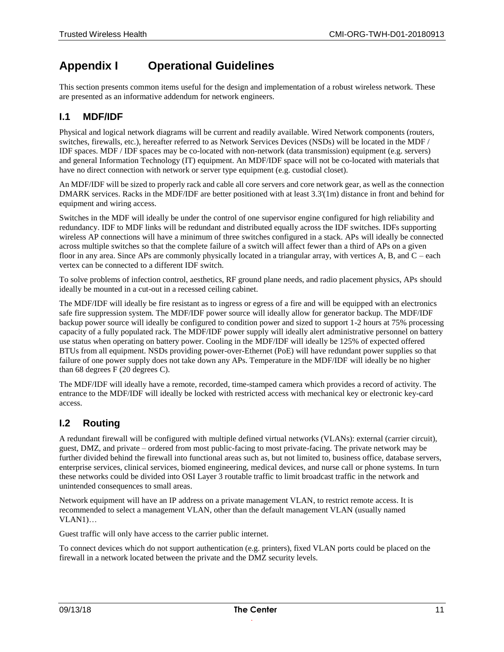### **Appendix I Operational Guidelines**

This section presents common items useful for the design and implementation of a robust wireless network. These are presented as an informative addendum for network engineers.

#### **I.1 MDF/IDF**

Physical and logical network diagrams will be current and readily available. Wired Network components (routers, switches, firewalls, etc.), hereafter referred to as Network Services Devices (NSDs) will be located in the MDF / IDF spaces. MDF / IDF spaces may be co-located with non-network (data transmission) equipment (e.g. servers) and general Information Technology (IT) equipment. An MDF/IDF space will not be co-located with materials that have no direct connection with network or server type equipment (e.g. custodial closet).

An MDF/IDF will be sized to properly rack and cable all core servers and core network gear, as well as the connection DMARK services. Racks in the MDF/IDF are better positioned with at least 3.3'(1m) distance in front and behind for equipment and wiring access.

Switches in the MDF will ideally be under the control of one supervisor engine configured for high reliability and redundancy. IDF to MDF links will be redundant and distributed equally across the IDF switches. IDFs supporting wireless AP connections will have a minimum of three switches configured in a stack. APs will ideally be connected across multiple switches so that the complete failure of a switch will affect fewer than a third of APs on a given floor in any area. Since APs are commonly physically located in a triangular array, with vertices A, B, and C – each vertex can be connected to a different IDF switch.

To solve problems of infection control, aesthetics, RF ground plane needs, and radio placement physics, APs should ideally be mounted in a cut-out in a recessed ceiling cabinet.

The MDF/IDF will ideally be fire resistant as to ingress or egress of a fire and will be equipped with an electronics safe fire suppression system. The MDF/IDF power source will ideally allow for generator backup. The MDF/IDF backup power source will ideally be configured to condition power and sized to support 1-2 hours at 75% processing capacity of a fully populated rack. The MDF/IDF power supply will ideally alert administrative personnel on battery use status when operating on battery power. Cooling in the MDF/IDF will ideally be 125% of expected offered BTUs from all equipment. NSDs providing power-over-Ethernet (PoE) will have redundant power supplies so that failure of one power supply does not take down any APs. Temperature in the MDF/IDF will ideally be no higher than 68 degrees F (20 degrees C).

The MDF/IDF will ideally have a remote, recorded, time-stamped camera which provides a record of activity. The entrance to the MDF/IDF will ideally be locked with restricted access with mechanical key or electronic key-card access.

#### **I.2 Routing**

A redundant firewall will be configured with multiple defined virtual networks (VLANs): external (carrier circuit), guest, DMZ, and private – ordered from most public-facing to most private-facing. The private network may be further divided behind the firewall into functional areas such as, but not limited to, business office, database servers, enterprise services, clinical services, biomed engineering, medical devices, and nurse call or phone systems. In turn these networks could be divided into OSI Layer 3 routable traffic to limit broadcast traffic in the network and unintended consequences to small areas.

Network equipment will have an IP address on a private management VLAN, to restrict remote access. It is recommended to select a management VLAN, other than the default management VLAN (usually named VLAN1)…

Guest traffic will only have access to the carrier public internet.

To connect devices which do not support authentication (e.g. printers), fixed VLAN ports could be placed on the firewall in a network located between the private and the DMZ security levels.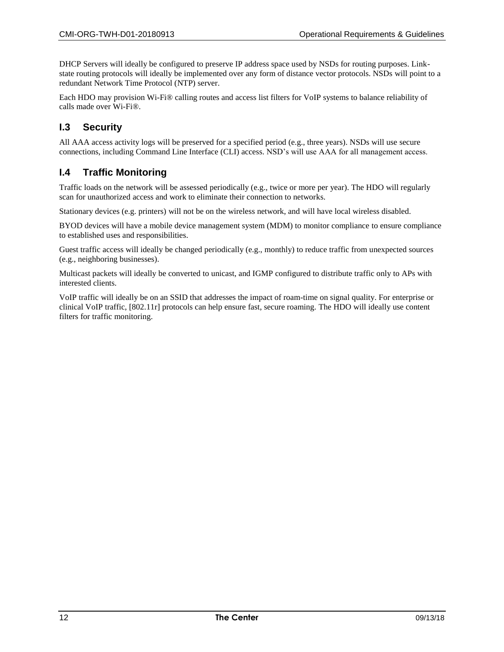DHCP Servers will ideally be configured to preserve IP address space used by NSDs for routing purposes. Linkstate routing protocols will ideally be implemented over any form of distance vector protocols. NSDs will point to a redundant Network Time Protocol (NTP) server.

Each HDO may provision Wi-Fi® calling routes and access list filters for VoIP systems to balance reliability of calls made over Wi-Fi®.

#### **I.3 Security**

All AAA access activity logs will be preserved for a specified period (e.g., three years). NSDs will use secure connections, including Command Line Interface (CLI) access. NSD's will use AAA for all management access.

#### <span id="page-11-0"></span>**I.4 Traffic Monitoring**

Traffic loads on the network will be assessed periodically (e.g., twice or more per year). The HDO will regularly scan for unauthorized access and work to eliminate their connection to networks.

Stationary devices (e.g. printers) will not be on the wireless network, and will have local wireless disabled.

BYOD devices will have a mobile device management system (MDM) to monitor compliance to ensure compliance to established uses and responsibilities.

Guest traffic access will ideally be changed periodically (e.g., monthly) to reduce traffic from unexpected sources (e.g., neighboring businesses).

Multicast packets will ideally be converted to unicast, and IGMP configured to distribute traffic only to APs with interested clients.

VoIP traffic will ideally be on an SSID that addresses the impact of roam-time on signal quality. For enterprise or clinical VoIP traffic, [\[802.11r\]](#page-5-6) protocols can help ensure fast, secure roaming. The HDO will ideally use content filters for traffic monitoring.